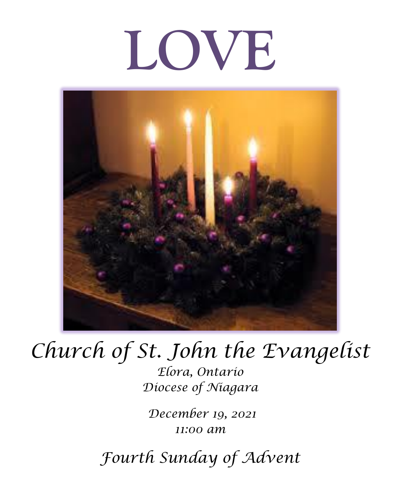# **LOVE**



# *Church of St. John the Evangelist*

*Elora, Ontario Diocese of Niagara*

*December 19, 2021 11:00 am*

*Fourth Sunday of Advent*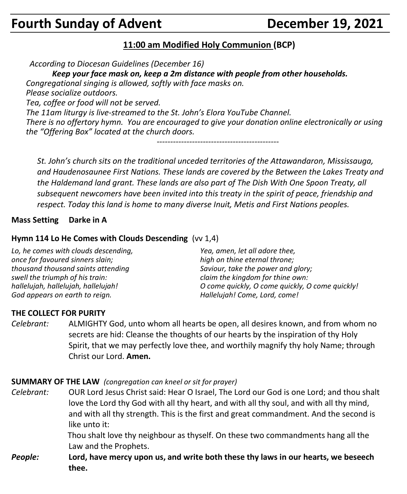## **Fourth Sunday of Advent Concrete Concrete Concrete Point Property Point Property Property Point Property Property**

#### **11:00 am Modified Holy Communion (BCP)**

*According to Diocesan Guidelines (December 16)*

*Keep your face mask on, keep a 2m distance with people from other households.*

*Congregational singing is allowed, softly with face masks on.*

*Please socialize outdoors.*

*Tea, coffee or food will not be served.*

*The 11am liturgy is live-streamed to the St. John's Elora YouTube Channel. There is no offertory hymn. You are encouraged to give your donation online electronically or using the "Offering Box" located at the church doors.*

*---------------------------------------------*

*St. John's church sits on the traditional unceded territories of the Attawandaron, Mississauga, and Haudenosaunee First Nations. These lands are covered by the Between the Lakes Treaty and the Haldemand land grant. These lands are also part of The Dish With One Spoon Treaty, all subsequent newcomers have been invited into this treaty in the spirit of peace, friendship and respect. Today this land is home to many diverse Inuit, Metis and First Nations peoples.* 

#### **Mass Setting Darke in A**

#### **Hymn 114 Lo He Comes with Clouds Descending** (vv 1,4)

*Lo, he comes with clouds descending, once for favoured sinners slain; thousand thousand saints attending swell the triumph of his train: hallelujah, hallelujah, hallelujah! God appears on earth to reign. Yea, amen, let all adore thee, high on thine eternal throne; Saviour, take the power and glory; claim the kingdom for thine own: O come quickly, O come quickly, O come quickly! Hallelujah! Come, Lord, come!*

#### **THE COLLECT FOR PURITY**

*Celebrant:* ALMIGHTY God, unto whom all hearts be open, all desires known, and from whom no secrets are hid: Cleanse the thoughts of our hearts by the inspiration of thy Holy Spirit, that we may perfectly love thee, and worthily magnify thy holy Name; through Christ our Lord. **Amen.**

#### **SUMMARY OF THE LAW** *(congregation can kneel or sit for prayer)*

*Celebrant:* OUR Lord Jesus Christ said: Hear O Israel, The Lord our God is one Lord; and thou shalt love the Lord thy God with all thy heart, and with all thy soul, and with all thy mind, and with all thy strength. This is the first and great commandment. And the second is like unto it:

> Thou shalt love thy neighbour as thyself. On these two commandments hang all the Law and the Prophets.

*People:* **Lord, have mercy upon us, and write both these thy laws in our hearts, we beseech thee.**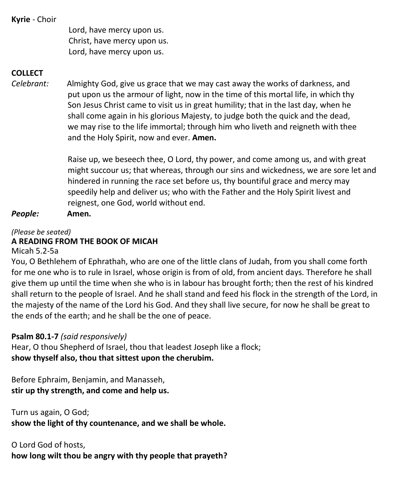**Kyrie** - Choir

Lord, have mercy upon us. Christ, have mercy upon us. Lord, have mercy upon us.

#### **COLLECT**

*Celebrant:* Almighty God, give us grace that we may cast away the works of darkness, and put upon us the armour of light, now in the time of this mortal life, in which thy Son Jesus Christ came to visit us in great humility; that in the last day, when he shall come again in his glorious Majesty, to judge both the quick and the dead, we may rise to the life immortal; through him who liveth and reigneth with thee and the Holy Spirit, now and ever. **Amen.**

> Raise up, we beseech thee, O Lord, thy power, and come among us, and with great might succour us; that whereas, through our sins and wickedness, we are sore let and hindered in running the race set before us, thy bountiful grace and mercy may speedily help and deliver us; who with the Father and the Holy Spirit livest and reignest, one God, world without end.

*People:* **Amen.**

#### *(Please be seated)* **A READING FROM THE BOOK OF MICAH**

Micah 5.2-5a

You, O Bethlehem of Ephrathah, who are one of the little clans of Judah, from you shall come forth for me one who is to rule in Israel, whose origin is from of old, from ancient days. Therefore he shall give them up until the time when she who is in labour has brought forth; then the rest of his kindred shall return to the people of Israel. And he shall stand and feed his flock in the strength of the Lord, in the majesty of the name of the Lord his God. And they shall live secure, for now he shall be great to the ends of the earth; and he shall be the one of peace.

#### **Psalm 80.1-7** *(said responsively)*

Hear, O thou Shepherd of Israel, thou that leadest Joseph like a flock; **show thyself also, thou that sittest upon the cherubim.**

Before Ephraim, Benjamin, and Manasseh, **stir up thy strength, and come and help us.**

Turn us again, O God; **show the light of thy countenance, and we shall be whole.**

O Lord God of hosts, **how long wilt thou be angry with thy people that prayeth?**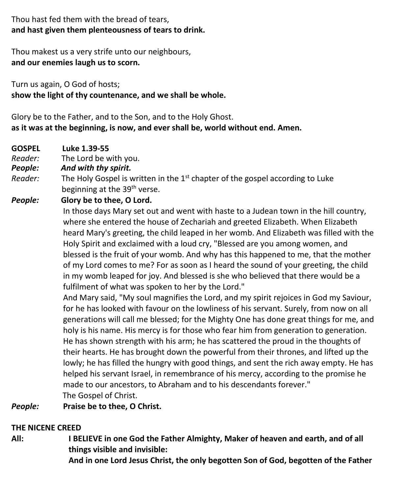#### Thou hast fed them with the bread of tears, **and hast given them plenteousness of tears to drink.**

Thou makest us a very strife unto our neighbours, **and our enemies laugh us to scorn.**

Turn us again, O God of hosts; **show the light of thy countenance, and we shall be whole.**

Glory be to the Father, and to the Son, and to the Holy Ghost. **as it was at the beginning, is now, and ever shall be, world without end. Amen.**

- **GOSPEL Luke 1.39-55**
- *Reader:*The Lord be with you.
- *People: And with thy spirit.*
- Reader: The Holy Gospel is written in the 1<sup>st</sup> chapter of the gospel according to Luke beginning at the 39<sup>th</sup> verse.
- *People:* **Glory be to thee, O Lord.**

In those days Mary set out and went with haste to a Judean town in the hill country, where she entered the house of Zechariah and greeted Elizabeth. When Elizabeth heard Mary's greeting, the child leaped in her womb. And Elizabeth was filled with the Holy Spirit and exclaimed with a loud cry, "Blessed are you among women, and blessed is the fruit of your womb. And why has this happened to me, that the mother of my Lord comes to me? For as soon as I heard the sound of your greeting, the child in my womb leaped for joy. And blessed is she who believed that there would be a fulfilment of what was spoken to her by the Lord."

And Mary said, "My soul magnifies the Lord, and my spirit rejoices in God my Saviour, for he has looked with favour on the lowliness of his servant. Surely, from now on all generations will call me blessed; for the Mighty One has done great things for me, and holy is his name. His mercy is for those who fear him from generation to generation. He has shown strength with his arm; he has scattered the proud in the thoughts of their hearts. He has brought down the powerful from their thrones, and lifted up the lowly; he has filled the hungry with good things, and sent the rich away empty. He has helped his servant Israel, in remembrance of his mercy, according to the promise he made to our ancestors, to Abraham and to his descendants forever." The Gospel of Christ.

*People:* **Praise be to thee, O Christ.**

#### **THE NICENE CREED**

**All: I BELIEVE in one God the Father Almighty, Maker of heaven and earth, and of all things visible and invisible:**

**And in one Lord Jesus Christ, the only begotten Son of God, begotten of the Father**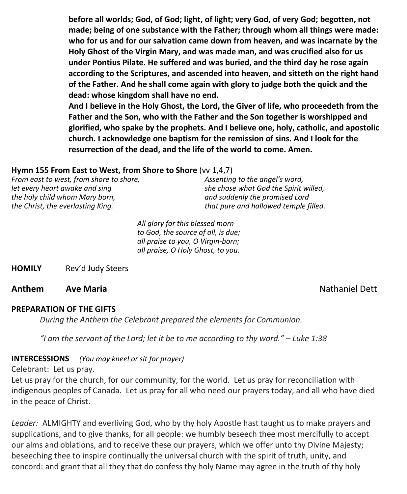**before all worlds; God, of God; light, of light; very God, of very God; begotten, not made; being of one substance with the Father; through whom all things were made: who for us and for our salvation came down from heaven, and was incarnate by the Holy Ghost of the Virgin Mary, and was made man, and was crucified also for us under Pontius Pilate. He suffered and was buried, and the third day he rose again according to the Scriptures, and ascended into heaven, and sitteth on the right hand of the Father. And he shall come again with glory to judge both the quick and the dead: whose kingdom shall have no end.**

**And I believe in the Holy Ghost, the Lord, the Giver of life, who proceedeth from the Father and the Son, who with the Father and the Son together is worshipped and glorified, who spake by the prophets. And I believe one, holy, catholic, and apostolic church. I acknowledge one baptism for the remission of sins. And I look for the resurrection of the dead, and the life of the world to come. Amen.**

#### **Hymn 155 From East to West, from Shore to Shore** (vv 1,4,7)

| Assenting to the angel's word,        |
|---------------------------------------|
| she chose what God the Spirit willed, |
| and suddenly the promised Lord        |
| that pure and hallowed temple filled. |
|                                       |

*All glory for this blessed morn to God, the source of all, is due; all praise to you, O Virgin-born; all praise, O Holy Ghost, to you.*

**HOMILY** Rev'd Judy Steers

**Anthem Ave Maria Christian Avenue Avenue Avenue Avenue Avenue Avenue Avenue Avenue Avenue Avenue Avenue Avenue** 

#### **PREPARATION OF THE GIFTS**

*During the Anthem the Celebrant prepared the elements for Communion.*

*"I am the servant of the Lord; let it be to me according to thy word." – Luke 1:38*

**INTERCESSIONS** *(You may kneel or sit for prayer)*

Celebrant: Let us pray.

Let us pray for the church, for our community, for the world. Let us pray for reconciliation with indigenous peoples of Canada. Let us pray for all who need our prayers today, and all who have died in the peace of Christ.

*Leader:* ALMIGHTY and everliving God, who by thy holy Apostle hast taught us to make prayers and supplications, and to give thanks, for all people: we humbly beseech thee most mercifully to accept our alms and oblations, and to receive these our prayers, which we offer unto thy Divine Majesty; beseeching thee to inspire continually the universal church with the spirit of truth, unity, and concord: and grant that all they that do confess thy holy Name may agree in the truth of thy holy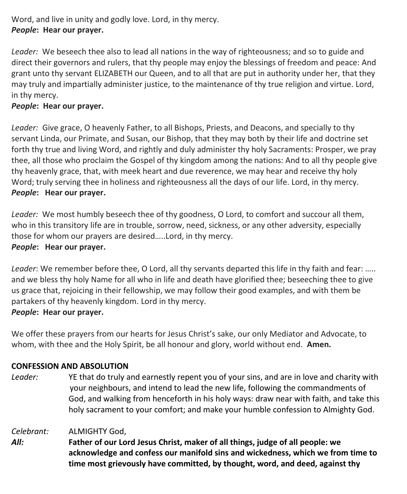#### Word, and live in unity and godly love. Lord, in thy mercy. *People***: Hear our prayer.**

*Leader:* We beseech thee also to lead all nations in the way of righteousness; and so to guide and direct their governors and rulers, that thy people may enjoy the blessings of freedom and peace: And grant unto thy servant ELIZABETH our Queen, and to all that are put in authority under her, that they may truly and impartially administer justice, to the maintenance of thy true religion and virtue. Lord, in thy mercy.

#### *People***: Hear our prayer.**

*Leader:* Give grace, O heavenly Father, to all Bishops, Priests, and Deacons, and specially to thy servant Linda, our Primate, and Susan, our Bishop, that they may both by their life and doctrine set forth thy true and living Word, and rightly and duly administer thy holy Sacraments: Prosper, we pray thee, all those who proclaim the Gospel of thy kingdom among the nations: And to all thy people give thy heavenly grace, that, with meek heart and due reverence, we may hear and receive thy holy Word; truly serving thee in holiness and righteousness all the days of our life. Lord, in thy mercy. *People***: Hear our prayer.**

*Leader:* We most humbly beseech thee of thy goodness, O Lord, to comfort and succour all them, who in this transitory life are in trouble, sorrow, need, sickness, or any other adversity, especially those for whom our prayers are desired…..Lord, in thy mercy. *People***: Hear our prayer.**

*Leader*: We remember before thee, O Lord, all thy servants departed this life in thy faith and fear: ….. and we bless thy holy Name for all who in life and death have glorified thee; beseeching thee to give us grace that, rejoicing in their fellowship, we may follow their good examples, and with them be partakers of thy heavenly kingdom. Lord in thy mercy.

#### *People***: Hear our prayer.**

We offer these prayers from our hearts for Jesus Christ's sake, our only Mediator and Advocate, to whom, with thee and the Holy Spirit, be all honour and glory, world without end. **Amen.**

#### **CONFESSION AND ABSOLUTION**

*Leader:* YE that do truly and earnestly repent you of your sins, and are in love and charity with your neighbours, and intend to lead the new life, following the commandments of God, and walking from henceforth in his holy ways: draw near with faith, and take this holy sacrament to your comfort; and make your humble confession to Almighty God.

*Celebrant:* ALMIGHTY God,

*All:* **Father of our Lord Jesus Christ, maker of all things, judge of all people: we acknowledge and confess our manifold sins and wickedness, which we from time to time most grievously have committed, by thought, word, and deed, against thy**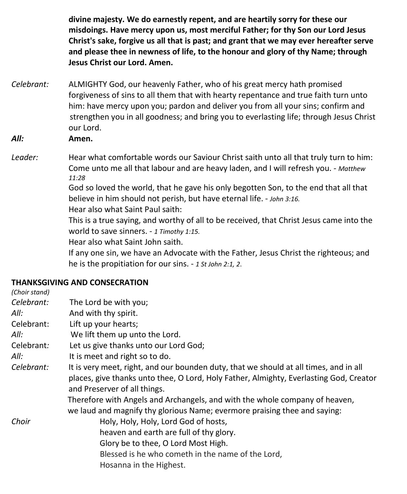**divine majesty. We do earnestly repent, and are heartily sorry for these our misdoings. Have mercy upon us, most merciful Father; for thy Son our Lord Jesus Christ's sake, forgive us all that is past; and grant that we may ever hereafter serve and please thee in newness of life, to the honour and glory of thy Name; through Jesus Christ our Lord. Amen.**

*Celebrant:* ALMIGHTY God, our heavenly Father, who of his great mercy hath promised forgiveness of sins to all them that with hearty repentance and true faith turn unto him: have mercy upon you; pardon and deliver you from all your sins; confirm and strengthen you in all goodness; and bring you to everlasting life; through Jesus Christ our Lord.

*All:* **Amen.**

Leader: **Hear what comfortable words our Saviour Christ saith unto all that truly turn to him:** Come unto me all that labour and are heavy laden, and I will refresh you. - *Matthew 11:28* God so loved the world, that he gave his only begotten Son, to the end that all that

believe in him should not perish, but have eternal life. - *John 3:16.*

Hear also what Saint Paul saith:

This is a true saying, and worthy of all to be received, that Christ Jesus came into the world to save sinners. - *1 Timothy 1:15.*

Hear also what Saint John saith.

If any one sin, we have an Advocate with the Father, Jesus Christ the righteous; and he is the propitiation for our sins. - *1 St John 2:1, 2*.

#### **THANKSGIVING AND CONSECRATION**

| (Choir stand) |                                                                                        |  |  |
|---------------|----------------------------------------------------------------------------------------|--|--|
| Celebrant:    | The Lord be with you;                                                                  |  |  |
| All:          | And with thy spirit.                                                                   |  |  |
| Celebrant:    | Lift up your hearts;                                                                   |  |  |
| All:          | We lift them up unto the Lord.                                                         |  |  |
| Celebrant:    | Let us give thanks unto our Lord God;                                                  |  |  |
| All:          | It is meet and right so to do.                                                         |  |  |
| Celebrant:    | It is very meet, right, and our bounden duty, that we should at all times, and in all  |  |  |
|               | places, give thanks unto thee, O Lord, Holy Father, Almighty, Everlasting God, Creator |  |  |
|               | and Preserver of all things.                                                           |  |  |
|               | Therefore with Angels and Archangels, and with the whole company of heaven,            |  |  |
|               | we laud and magnify thy glorious Name; evermore praising thee and saying:              |  |  |
| Choir         | Holy, Holy, Holy, Lord God of hosts,                                                   |  |  |
|               | heaven and earth are full of thy glory.                                                |  |  |
|               | Glory be to thee, O Lord Most High.                                                    |  |  |
|               | Blessed is he who cometh in the name of the Lord,                                      |  |  |
|               | Hosanna in the Highest.                                                                |  |  |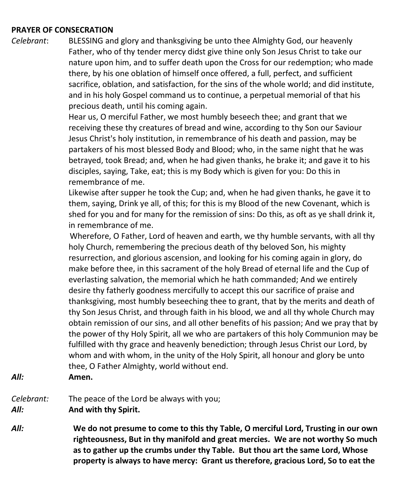#### **PRAYER OF CONSECRATION**

*Celebrant*: BLESSING and glory and thanksgiving be unto thee Almighty God, our heavenly Father, who of thy tender mercy didst give thine only Son Jesus Christ to take our nature upon him, and to suffer death upon the Cross for our redemption; who made there, by his one oblation of himself once offered, a full, perfect, and sufficient sacrifice, oblation, and satisfaction, for the sins of the whole world; and did institute, and in his holy Gospel command us to continue, a perpetual memorial of that his precious death, until his coming again.

> Hear us, O merciful Father, we most humbly beseech thee; and grant that we receiving these thy creatures of bread and wine, according to thy Son our Saviour Jesus Christ's holy institution, in remembrance of his death and passion, may be partakers of his most blessed Body and Blood; who, in the same night that he was betrayed, took Bread; and, when he had given thanks, he brake it; and gave it to his disciples, saying, Take, eat; this is my Body which is given for you: Do this in remembrance of me.

Likewise after supper he took the Cup; and, when he had given thanks, he gave it to them, saying, Drink ye all, of this; for this is my Blood of the new Covenant, which is shed for you and for many for the remission of sins: Do this, as oft as ye shall drink it, in remembrance of me.

 Wherefore, O Father, Lord of heaven and earth, we thy humble servants, with all thy holy Church, remembering the precious death of thy beloved Son, his mighty resurrection, and glorious ascension, and looking for his coming again in glory, do make before thee, in this sacrament of the holy Bread of eternal life and the Cup of everlasting salvation, the memorial which he hath commanded; And we entirely desire thy fatherly goodness mercifully to accept this our sacrifice of praise and thanksgiving, most humbly beseeching thee to grant, that by the merits and death of thy Son Jesus Christ, and through faith in his blood, we and all thy whole Church may obtain remission of our sins, and all other benefits of his passion; And we pray that by the power of thy Holy Spirit, all we who are partakers of this holy Communion may be fulfilled with thy grace and heavenly benediction; through Jesus Christ our Lord, by whom and with whom, in the unity of the Holy Spirit, all honour and glory be unto thee, O Father Almighty, world without end.

- *All:* **Amen.**
- *Celebrant:* The peace of the Lord be always with you; *All:* **And with thy Spirit.**
- *All:* **We do not presume to come to this thy Table, O merciful Lord, Trusting in our own righteousness, But in thy manifold and great mercies. We are not worthy So much as to gather up the crumbs under thy Table. But thou art the same Lord, Whose property is always to have mercy: Grant us therefore, gracious Lord, So to eat the**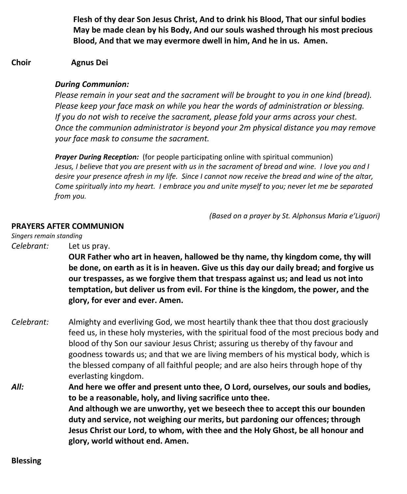**Flesh of thy dear Son Jesus Christ, And to drink his Blood, That our sinful bodies May be made clean by his Body, And our souls washed through his most precious Blood, And that we may evermore dwell in him, And he in us. Amen.**

#### **Choir Agnus Dei**

#### *During Communion:*

*Please remain in your seat and the sacrament will be brought to you in one kind (bread). Please keep your face mask on while you hear the words of administration or blessing. If you do not wish to receive the sacrament, please fold your arms across your chest. Once the communion administrator is beyond your 2m physical distance you may remove your face mask to consume the sacrament.*

*Prayer During Reception:* (for people participating online with spiritual communion) Jesus, I believe that you are present with us in the sacrament of bread and wine. I love you and I desire your presence afresh in my life. Since I cannot now receive the bread and wine of the altar, *Come spiritually into my heart. I embrace you and unite myself to you; never let me be separated from you.*

*(Based on a prayer by St. Alphonsus Maria e'Liguori)*

#### **PRAYERS AFTER COMMUNION**

*Singers remain standing*

*Celebrant:* Let us pray.

**OUR Father who art in heaven, hallowed be thy name, thy kingdom come, thy will be done, on earth as it is in heaven. Give us this day our daily bread; and forgive us our trespasses, as we forgive them that trespass against us; and lead us not into temptation, but deliver us from evil. For thine is the kingdom, the power, and the glory, for ever and ever. Amen.**

*Celebrant:* Almighty and everliving God, we most heartily thank thee that thou dost graciously feed us, in these holy mysteries, with the spiritual food of the most precious body and blood of thy Son our saviour Jesus Christ; assuring us thereby of thy favour and goodness towards us; and that we are living members of his mystical body, which is the blessed company of all faithful people; and are also heirs through hope of thy everlasting kingdom.

*All:* **And here we offer and present unto thee, O Lord, ourselves, our souls and bodies, to be a reasonable, holy, and living sacrifice unto thee. And although we are unworthy, yet we beseech thee to accept this our bounden duty and service, not weighing our merits, but pardoning our offences; through Jesus Christ our Lord, to whom, with thee and the Holy Ghost, be all honour and glory, world without end. Amen.**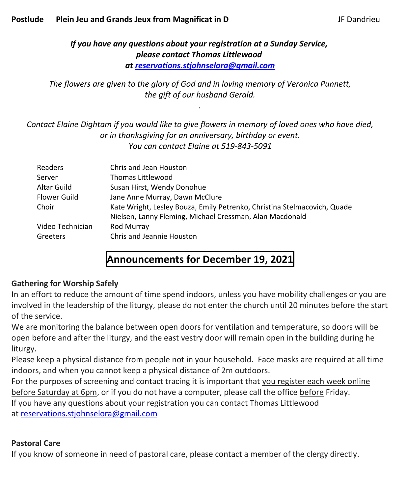#### *If you have any questions about your registration at a Sunday Service, please contact Thomas Littlewood at [reservations.stjohnselora@gmail.com](mailto:reservations.stjohnselora@gmail.com)*

*The flowers are given to the glory of God and in loving memory of Veronica Punnett, the gift of our husband Gerald.*

*.*

*Contact Elaine Dightam if you would like to give flowers in memory of loved ones who have died, or in thanksgiving for an anniversary, birthday or event. You can contact Elaine at 519-843-5091*

| Readers          | Chris and Jean Houston                                                                                                               |
|------------------|--------------------------------------------------------------------------------------------------------------------------------------|
| Server           | Thomas Littlewood                                                                                                                    |
| Altar Guild      | Susan Hirst, Wendy Donohue                                                                                                           |
| Flower Guild     | Jane Anne Murray, Dawn McClure                                                                                                       |
| Choir            | Kate Wright, Lesley Bouza, Emily Petrenko, Christina Stelmacovich, Quade<br>Nielsen, Lanny Fleming, Michael Cressman, Alan Macdonald |
| Video Technician | Rod Murray                                                                                                                           |
| Greeters         | Chris and Jeannie Houston                                                                                                            |

### **Announcements for December 19, 2021**

#### **Gathering for Worship Safely**

In an effort to reduce the amount of time spend indoors, unless you have mobility challenges or you are involved in the leadership of the liturgy, please do not enter the church until 20 minutes before the start of the service.

We are monitoring the balance between open doors for ventilation and temperature, so doors will be open before and after the liturgy, and the east vestry door will remain open in the building during he liturgy.

Please keep a physical distance from people not in your household. Face masks are required at all time indoors, and when you cannot keep a physical distance of 2m outdoors.

For the purposes of screening and contact tracing it is important that you register each week online before Saturday at 6pm, or if you do not have a computer, please call the office before Friday.

If you have any questions about your registration you can contact Thomas Littlewood

at [reservations.stjohnselora@gmail.com](mailto:reservations.stjohnselora@gmail.com)

#### **Pastoral Care**

If you know of someone in need of pastoral care, please contact a member of the clergy directly.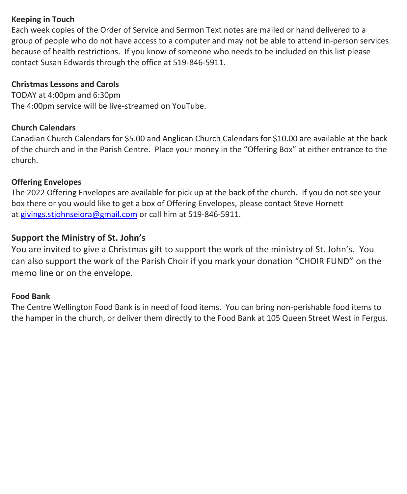#### **Keeping in Touch**

Each week copies of the Order of Service and Sermon Text notes are mailed or hand delivered to a group of people who do not have access to a computer and may not be able to attend in-person services because of health restrictions. If you know of someone who needs to be included on this list please contact Susan Edwards through the office at 519-846-5911.

#### **Christmas Lessons and Carols**

TODAY at 4:00pm and 6:30pm The 4:00pm service will be live-streamed on YouTube.

#### **Church Calendars**

Canadian Church Calendars for \$5.00 and Anglican Church Calendars for \$10.00 are available at the back of the church and in the Parish Centre. Place your money in the "Offering Box" at either entrance to the church.

#### **Offering Envelopes**

The 2022 Offering Envelopes are available for pick up at the back of the church. If you do not see your box there or you would like to get a box of Offering Envelopes, please contact Steve Hornett at [givings.stjohnselora@gmail.com](mailto:givings.stjohnselora@gmail.com) or call him at 519-846-5911.

#### **Support the Ministry of St. John's**

You are invited to give a Christmas gift to support the work of the ministry of St. John's. You can also support the work of the Parish Choir if you mark your donation "CHOIR FUND" on the memo line or on the envelope.

#### **Food Bank**

The Centre Wellington Food Bank is in need of food items. You can bring non-perishable food items to the hamper in the church, or deliver them directly to the Food Bank at 105 Queen Street West in Fergus.